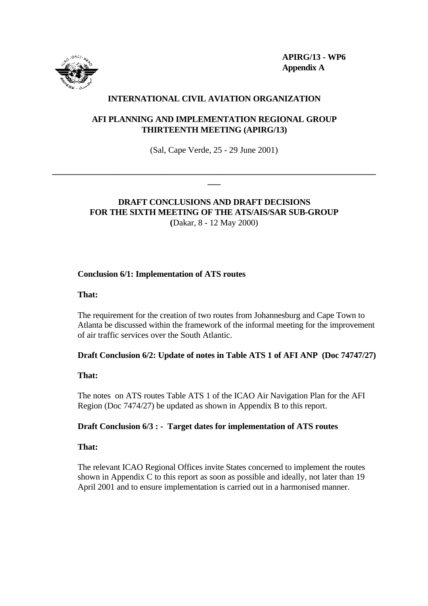

**APIRG/13 - WP6 Appendix A**

# **INTERNATIONAL CIVIL AVIATION ORGANIZATION**

## **AFI PLANNING AND IMPLEMENTATION REGIONAL GROUP THIRTEENTH MEETING (APIRG/13)**

(Sal, Cape Verde, 25 - 29 June 2001)

**\_\_\_\_\_\_\_\_\_\_\_\_\_\_\_\_\_\_\_\_\_\_\_\_\_\_\_\_\_\_\_\_\_\_\_\_\_\_\_\_\_\_\_\_\_\_\_\_\_\_\_\_\_\_\_\_\_\_\_\_\_\_\_\_\_\_\_\_\_\_\_\_\_\_\_ \_\_\_**

# **DRAFT CONCLUSIONS AND DRAFT DECISIONS FOR THE SIXTH MEETING OF THE ATS/AIS/SAR SUB-GROUP (**Dakar, 8 - 12 May 2000)

## **Conclusion 6/1: Implementation of ATS routes**

**That:**

The requirement for the creation of two routes from Johannesburg and Cape Town to Atlanta be discussed within the framework of the informal meeting for the improvement of air traffic services over the South Atlantic.

### **Draft Conclusion 6/2: Update of notes in Table ATS 1 of AFI ANP (Doc 74747/27)**

#### **That:**

The notes on ATS routes Table ATS 1 of the ICAO Air Navigation Plan for the AFI Region (Doc 7474/27) be updated as shown in Appendix B to this report.

### **Draft Conclusion 6/3 : - Target dates for implementation of ATS routes**

### **That:**

The relevant ICAO Regional Offices invite States concerned to implement the routes shown in Appendix C to this report as soon as possible and ideally, not later than 19 April 2001 and to ensure implementation is carried out in a harmonised manner.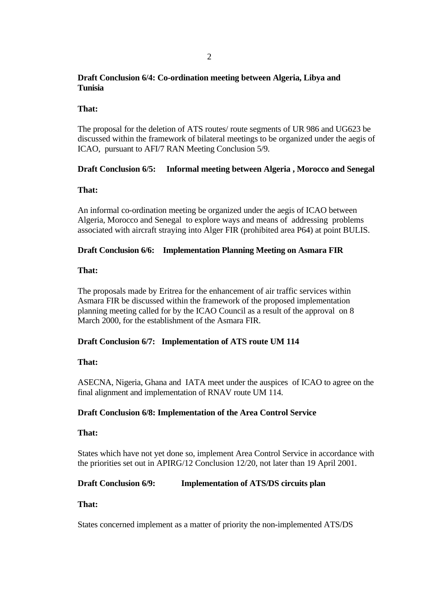# **Draft Conclusion 6/4: Co-ordination meeting between Algeria, Libya and Tunisia**

### **That:**

The proposal for the deletion of ATS routes/ route segments of UR 986 and UG623 be discussed within the framework of bilateral meetings to be organized under the aegis of ICAO, pursuant to AFI/7 RAN Meeting Conclusion 5/9.

# **Draft Conclusion 6/5: Informal meeting between Algeria , Morocco and Senegal**

## **That:**

An informal co-ordination meeting be organized under the aegis of ICAO between Algeria, Morocco and Senegal to explore ways and means of addressing problems associated with aircraft straying into Alger FIR (prohibited area P64) at point BULIS.

## **Draft Conclusion 6/6: Implementation Planning Meeting on Asmara FIR**

## **That:**

The proposals made by Eritrea for the enhancement of air traffic services within Asmara FIR be discussed within the framework of the proposed implementation planning meeting called for by the ICAO Council as a result of the approval on 8 March 2000, for the establishment of the Asmara FIR.

# **Draft Conclusion 6/7: Implementation of ATS route UM 114**

### **That:**

ASECNA, Nigeria, Ghana and IATA meet under the auspices of ICAO to agree on the final alignment and implementation of RNAV route UM 114.

### **Draft Conclusion 6/8: Implementation of the Area Control Service**

### **That:**

States which have not yet done so, implement Area Control Service in accordance with the priorities set out in APIRG/12 Conclusion 12/20, not later than 19 April 2001.

# **Draft Conclusion 6/9: Implementation of ATS/DS circuits plan**

### **That:**

States concerned implement as a matter of priority the non-implemented ATS/DS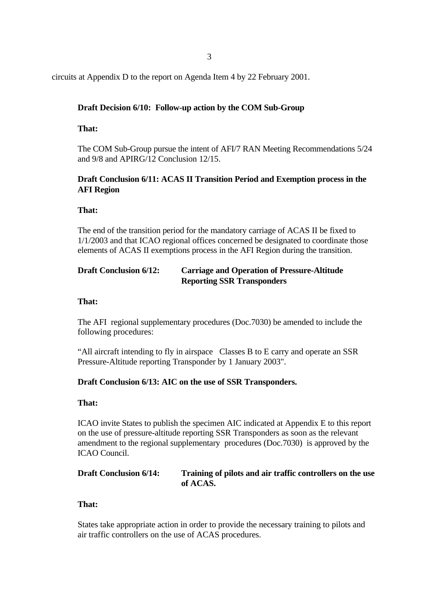3

circuits at Appendix D to the report on Agenda Item 4 by 22 February 2001.

## **Draft Decision 6/10: Follow-up action by the COM Sub-Group**

### **That:**

The COM Sub-Group pursue the intent of AFI/7 RAN Meeting Recommendations 5/24 and 9/8 and APIRG/12 Conclusion 12/15.

# **Draft Conclusion 6/11: ACAS II Transition Period and Exemption process in the AFI Region**

### **That:**

The end of the transition period for the mandatory carriage of ACAS II be fixed to 1/1/2003 and that ICAO regional offices concerned be designated to coordinate those elements of ACAS II exemptions process in the AFI Region during the transition.

# **Draft Conclusion 6/12: Carriage and Operation of Pressure-Altitude Reporting SSR Transponders**

#### **That:**

The AFI regional supplementary procedures (Doc.7030) be amended to include the following procedures:

"All aircraft intending to fly in airspace Classes B to E carry and operate an SSR Pressure-Altitude reporting Transponder by 1 January 2003".

### **Draft Conclusion 6/13: AIC on the use of SSR Transponders.**

#### **That:**

ICAO invite States to publish the specimen AIC indicated at Appendix E to this report on the use of pressure-altitude reporting SSR Transponders as soon as the relevant amendment to the regional supplementary procedures (Doc.7030) is approved by the ICAO Council.

## **Draft Conclusion 6/14: Training of pilots and air traffic controllers on the use of ACAS.**

#### **That:**

States take appropriate action in order to provide the necessary training to pilots and air traffic controllers on the use of ACAS procedures.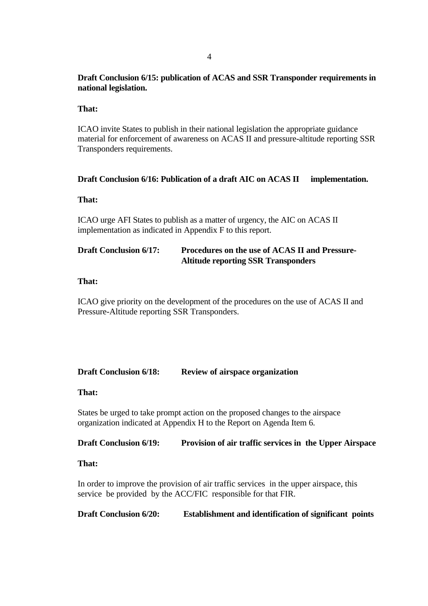# **Draft Conclusion 6/15: publication of ACAS and SSR Transponder requirements in national legislation.**

### **That:**

ICAO invite States to publish in their national legislation the appropriate guidance material for enforcement of awareness on ACAS II and pressure-altitude reporting SSR Transponders requirements.

### **Draft Conclusion 6/16: Publication of a draft AIC on ACAS II implementation.**

### **That:**

ICAO urge AFI States to publish as a matter of urgency, the AIC on ACAS II implementation as indicated in Appendix F to this report.

# **Draft Conclusion 6/17: Procedures on the use of ACAS II and Pressure-Altitude reporting SSR Transponders**

#### **That:**

ICAO give priority on the development of the procedures on the use of ACAS II and Pressure-Altitude reporting SSR Transponders.

### **Draft Conclusion 6/18: Review of airspace organization**

### **That:**

States be urged to take prompt action on the proposed changes to the airspace organization indicated at Appendix H to the Report on Agenda Item 6.

### **Draft Conclusion 6/19: Provision of air traffic services in the Upper Airspace**

### **That:**

In order to improve the provision of air traffic services in the upper airspace, this service be provided by the ACC/FIC responsible for that FIR.

**Draft Conclusion 6/20: Establishment and identification of significant points**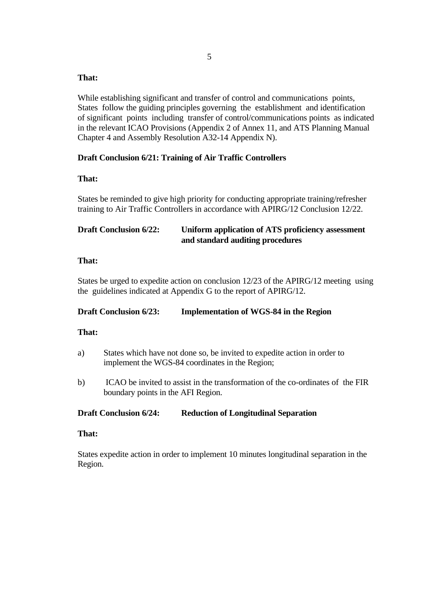## **That:**

While establishing significant and transfer of control and communications points, States follow the guiding principles governing the establishment and identification of significant points including transfer of control/communications points as indicated in the relevant ICAO Provisions (Appendix 2 of Annex 11, and ATS Planning Manual Chapter 4 and Assembly Resolution A32-14 Appendix N).

## **Draft Conclusion 6/21: Training of Air Traffic Controllers**

## **That:**

States be reminded to give high priority for conducting appropriate training/refresher training to Air Traffic Controllers in accordance with APIRG/12 Conclusion 12/22.

# **Draft Conclusion 6/22: Uniform application of ATS proficiency assessment and standard auditing procedures**

### **That:**

States be urged to expedite action on conclusion 12/23 of the APIRG/12 meeting using the guidelines indicated at Appendix G to the report of APIRG/12.

### **Draft Conclusion 6/23: Implementation of WGS-84 in the Region**

### **That:**

- a) States which have not done so, be invited to expedite action in order to implement the WGS-84 coordinates in the Region;
- b) ICAO be invited to assist in the transformation of the co-ordinates of the FIR boundary points in the AFI Region.

### **Draft Conclusion 6/24: Reduction of Longitudinal Separation**

### **That:**

States expedite action in order to implement 10 minutes longitudinal separation in the Region.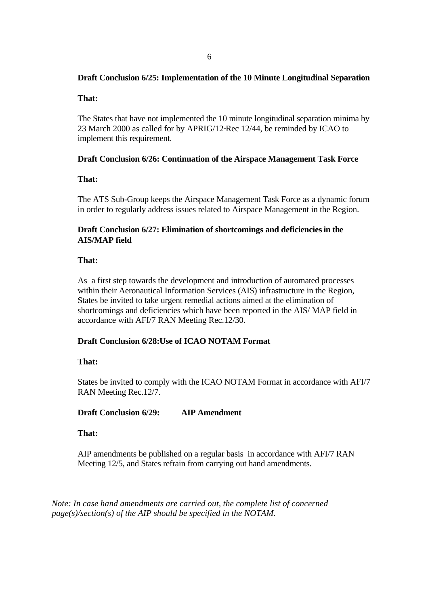# **Draft Conclusion 6/25: Implementation of the 10 Minute Longitudinal Separation**

### **That:**

The States that have not implemented the 10 minute longitudinal separation minima by 23 March 2000 as called for by APRIG/12 Rec 12/44, be reminded by ICAO to implement this requirement.

## **Draft Conclusion 6/26: Continuation of the Airspace Management Task Force**

## **That:**

The ATS Sub-Group keeps the Airspace Management Task Force as a dynamic forum in order to regularly address issues related to Airspace Management in the Region.

# **Draft Conclusion 6/27: Elimination of shortcomings and deficienciesin the AIS/MAP field**

## **That:**

As a first step towards the development and introduction of automated processes within their Aeronautical Information Services (AIS) infrastructure in the Region, States be invited to take urgent remedial actions aimed at the elimination of shortcomings and deficiencies which have been reported in the AIS/ MAP field in accordance with AFI/7 RAN Meeting Rec.12/30.

# **Draft Conclusion 6/28:Use of ICAO NOTAM Format**

### **That:**

States be invited to comply with the ICAO NOTAM Format in accordance with AFI/7 RAN Meeting Rec.12/7.

### **Draft Conclusion 6/29: AIP Amendment**

### **That:**

AIP amendments be published on a regular basis in accordance with AFI/7 RAN Meeting 12/5, and States refrain from carrying out hand amendments.

*Note: In case hand amendments are carried out, the complete list of concerned page(s)/section(s) of the AIP should be specified in the NOTAM.*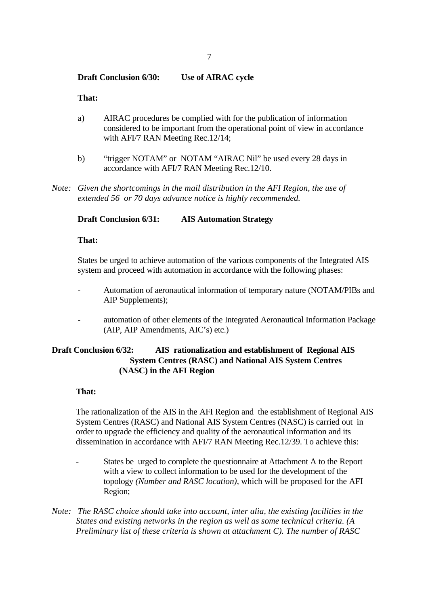#### **Draft Conclusion 6/30: Use of AIRAC cycle**

#### **That:**

- a) AIRAC procedures be complied with for the publication of information considered to be important from the operational point of view in accordance with AFI/7 RAN Meeting Rec.12/14;
- b) "trigger NOTAM" or NOTAM "AIRAC Nil" be used every 28 days in accordance with AFI/7 RAN Meeting Rec.12/10.
- *Note: Given the shortcomings in the mail distribution in the AFI Region, the use of extended 56 or 70 days advance notice is highly recommended.*

### **Draft Conclusion 6/31: AIS Automation Strategy**

### **That:**

States be urged to achieve automation of the various components of the Integrated AIS system and proceed with automation in accordance with the following phases:

- Automation of aeronautical information of temporary nature (NOTAM/PIBs and AIP Supplements);
- automation of other elements of the Integrated Aeronautical Information Package (AIP, AIP Amendments, AIC's) etc.)

# **Draft Conclusion 6/32: AIS rationalization and establishment of Regional AIS System Centres (RASC) and National AIS System Centres (NASC) in the AFI Region**

#### **That:**

The rationalization of the AIS in the AFI Region and the establishment of Regional AIS System Centres (RASC) and National AIS System Centres (NASC) is carried out in order to upgrade the efficiency and quality of the aeronautical information and its dissemination in accordance with AFI/7 RAN Meeting Rec.12/39. To achieve this:

- States be urged to complete the questionnaire at Attachment A to the Report with a view to collect information to be used for the development of the topology *(Number and RASC location)*, which will be proposed for the AFI Region;
- *Note: The RASC choice should take into account, inter alia, the existing facilities in the States and existing networks in the region as well as some technical criteria. (A Preliminary list of these criteria is shown at attachment C). The number of RASC*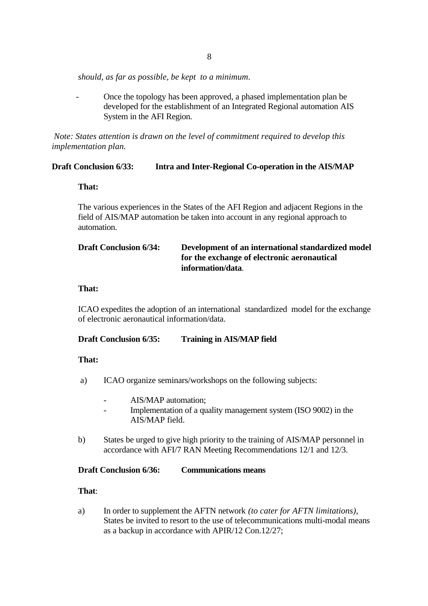*should, as far as possible, be kept to a minimum*.

 - Once the topology has been approved, a phased implementation plan be developed for the establishment of an Integrated Regional automation AIS System in the AFI Region.

*Note: States attention is drawn on the level of commitment required to develop this implementation plan.*

### **Draft Conclusion 6/33: Intra and Inter-Regional Co-operation in the AIS/MAP**

#### **That:**

The various experiences in the States of the AFI Region and adjacent Regions in the field of AIS/MAP automation be taken into account in any regional approach to automation.

# **Draft Conclusion 6/34: Development of an international standardized model for the exchange of electronic aeronautical information/data**.

#### **That:**

ICAO expedites the adoption of an international standardized model for the exchange of electronic aeronautical information/data.

## **Draft Conclusion 6/35: Training in AIS/MAP field**

### **That:**

- a) ICAO organize seminars/workshops on the following subjects:
	- AIS/MAP automation;
	- Implementation of a quality management system (ISO 9002) in the AIS/MAP field.
- b) States be urged to give high priority to the training of AIS/MAP personnel in accordance with AFI/7 RAN Meeting Recommendations 12/1 and 12/3.

### **Draft Conclusion 6/36: Communications means**

### **That**:

a) In order to supplement the AFTN network *(to cater for AFTN limitations)*, States be invited to resort to the use of telecommunications multi-modal means as a backup in accordance with APIR/12 Con.12/27;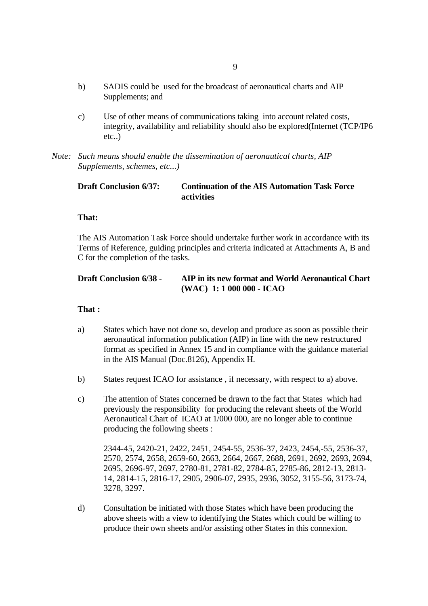- b) SADIS could be used for the broadcast of aeronautical charts and AIP Supplements; and
- c) Use of other means of communications taking into account related costs, integrity, availability and reliability should also be explored(Internet (TCP/IP6 etc..)
- *Note: Such means should enable the dissemination of aeronautical charts, AIP Supplements, schemes, etc...)*

# **Draft Conclusion 6/37: Continuation of the AIS Automation Task Force activities**

#### **That:**

The AIS Automation Task Force should undertake further work in accordance with its Terms of Reference, guiding principles and criteria indicated at Attachments A, B and C for the completion of the tasks.

# **Draft Conclusion 6/38 - AIP in its new format and World Aeronautical Chart (WAC) 1: 1 000 000 - ICAO**

#### **That :**

- a) States which have not done so, develop and produce as soon as possible their aeronautical information publication (AIP) in line with the new restructured format as specified in Annex 15 and in compliance with the guidance material in the AIS Manual (Doc.8126), Appendix H.
- b) States request ICAO for assistance , if necessary, with respect to a) above.
- c) The attention of States concerned be drawn to the fact that States which had previously the responsibility for producing the relevant sheets of the World Aeronautical Chart of ICAO at 1/000 000, are no longer able to continue producing the following sheets :

2344-45, 2420-21, 2422, 2451, 2454-55, 2536-37, 2423, 2454,-55, 2536-37, 2570, 2574, 2658, 2659-60, 2663, 2664, 2667, 2688, 2691, 2692, 2693, 2694, 2695, 2696-97, 2697, 2780-81, 2781-82, 2784-85, 2785-86, 2812-13, 2813- 14, 2814-15, 2816-17, 2905, 2906-07, 2935, 2936, 3052, 3155-56, 3173-74, 3278, 3297.

d) Consultation be initiated with those States which have been producing the above sheets with a view to identifying the States which could be willing to produce their own sheets and/or assisting other States in this connexion.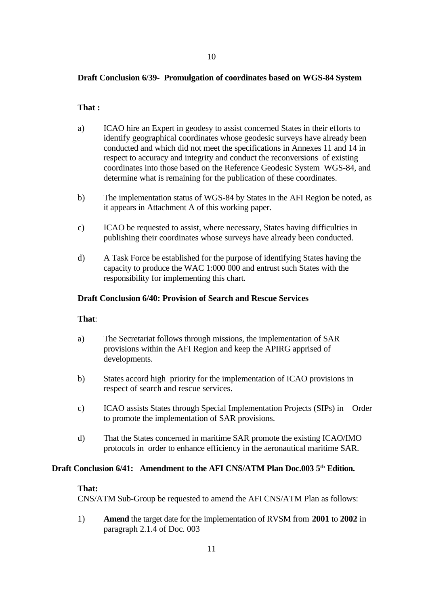### **Draft Conclusion 6/39- Promulgation of coordinates based on WGS-84 System**

### **That :**

- a) ICAO hire an Expert in geodesy to assist concerned States in their efforts to identify geographical coordinates whose geodesic surveys have already been conducted and which did not meet the specifications in Annexes 11 and 14 in respect to accuracy and integrity and conduct the reconversions of existing coordinates into those based on the Reference Geodesic System WGS-84, and determine what is remaining for the publication of these coordinates.
- b) The implementation status of WGS-84 by States in the AFI Region be noted, as it appears in Attachment A of this working paper.
- c) ICAO be requested to assist, where necessary, States having difficulties in publishing their coordinates whose surveys have already been conducted.
- d) A Task Force be established for the purpose of identifying States having the capacity to produce the WAC 1:000 000 and entrust such States with the responsibility for implementing this chart.

#### **Draft Conclusion 6/40: Provision of Search and Rescue Services**

#### **That**:

- a) The Secretariat follows through missions, the implementation of SAR provisions within the AFI Region and keep the APIRG apprised of developments.
- b) States accord high priority for the implementation of ICAO provisions in respect of search and rescue services.
- c) ICAO assists States through Special Implementation Projects (SIPs) in Order to promote the implementation of SAR provisions.
- d) That the States concerned in maritime SAR promote the existing ICAO/IMO protocols in order to enhance efficiency in the aeronautical maritime SAR.

#### **Draft Conclusion 6/41: Amendment to the AFI CNS/ATM Plan Doc.003 5th Edition.**

#### **That:**

CNS/ATM Sub-Group be requested to amend the AFI CNS/ATM Plan as follows:

1) **Amend** the target date for the implementation of RVSM from **2001** to **2002** in paragraph 2.1.4 of Doc. 003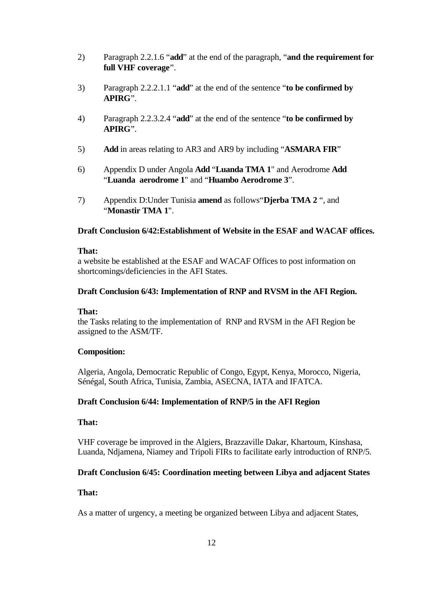- 2) Paragraph 2.2.1.6 "**add**" at the end of the paragraph, "**and the requirement for full VHF coverage**".
- 3) Paragraph 2.2.2.1.1 "**add**" at the end of the sentence "**to be confirmed by APIRG**".
- 4) Paragraph 2.2.3.2.4 "**add**" at the end of the sentence "**to be confirmed by APIRG**".
- 5) **Add** in areas relating to AR3 and AR9 by including "**ASMARA FIR**"
- 6) Appendix D under Angola **Add** "**Luanda TMA 1**" and Aerodrome **Add** "**Luanda aerodrome 1**" and "**Huambo Aerodrome 3**".
- 7) Appendix D:Under Tunisia **amend** as follows"**Djerba TMA 2** ", and "**Monastir TMA 1**".

### **Draft Conclusion 6/42:Establishment of Website in the ESAF and WACAF offices.**

### **That:**

a website be established at the ESAF and WACAF Offices to post information on shortcomings/deficiencies in the AFI States.

### **Draft Conclusion 6/43: Implementation of RNP and RVSM in the AFI Region.**

### **That:**

the Tasks relating to the implementation of RNP and RVSM in the AFI Region be assigned to the ASM/TF.

### **Composition:**

Algeria, Angola, Democratic Republic of Congo, Egypt, Kenya, Morocco, Nigeria, Sénégal, South Africa, Tunisia, Zambia, ASECNA, IATA and IFATCA.

### **Draft Conclusion 6/44: Implementation of RNP/5 in the AFI Region**

### **That:**

VHF coverage be improved in the Algiers, Brazzaville Dakar, Khartoum, Kinshasa, Luanda, Ndjamena, Niamey and Tripoli FIRs to facilitate early introduction of RNP/5.

# **Draft Conclusion 6/45: Coordination meeting between Libya and adjacent States**

# **That:**

As a matter of urgency, a meeting be organized between Libya and adjacent States,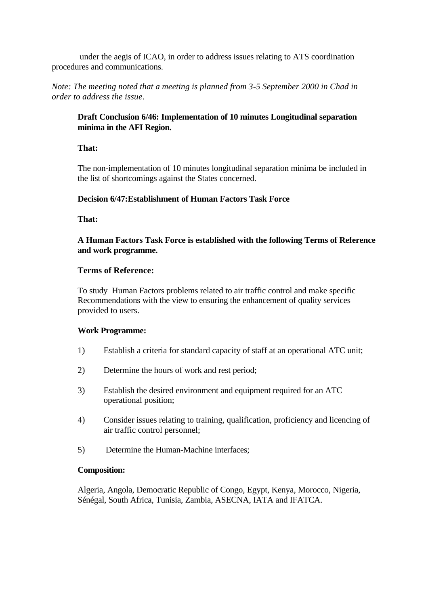under the aegis of ICAO, in order to address issues relating to ATS coordination procedures and communications.

*Note: The meeting noted that a meeting is planned from 3-5 September 2000 in Chad in order to address the issue*.

# **Draft Conclusion 6/46: Implementation of 10 minutes Longitudinal separation minima in the AFI Region.**

## **That:**

The non-implementation of 10 minutes longitudinal separation minima be included in the list of shortcomings against the States concerned.

# **Decision 6/47:Establishment of Human Factors Task Force**

**That:**

**A Human Factors Task Force is established with the following Terms of Reference and work programme.**

## **Terms of Reference:**

To study Human Factors problems related to air traffic control and make specific Recommendations with the view to ensuring the enhancement of quality services provided to users.

### **Work Programme:**

- 1) Establish a criteria for standard capacity of staff at an operational ATC unit;
- 2) Determine the hours of work and rest period;
- 3) Establish the desired environment and equipment required for an ATC operational position;
- 4) Consider issues relating to training, qualification, proficiency and licencing of air traffic control personnel;
- 5) Determine the Human-Machine interfaces;

### **Composition:**

Algeria, Angola, Democratic Republic of Congo, Egypt, Kenya, Morocco, Nigeria, Sénégal, South Africa, Tunisia, Zambia, ASECNA, IATA and IFATCA.